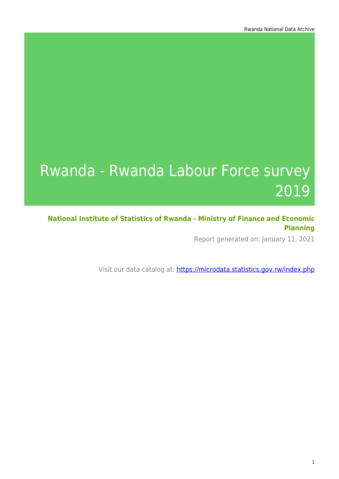# Rwanda - Rwanda Labour Force survey 2019

**National Institute of Statistics of Rwanda - Ministry of Finance and Economic Planning**

Report generated on: January 11, 2021

Visit our data catalog at: https://microdata.statistics.gov.rw/index.php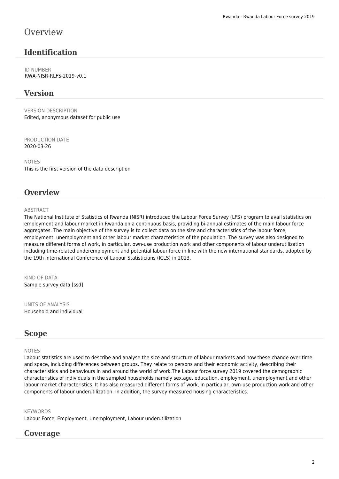## **Overview**

## **Identification**

ID NUMBER RWA-NISR-RLFS-2019-v0.1

## **Version**

VERSION DESCRIPTION Edited, anonymous dataset for public use

PRODUCTION DATE 2020-03-26

NOTES This is the first version of the data description

### **Overview**

#### **ABSTRACT**

The National Institute of Statistics of Rwanda (NISR) introduced the Labour Force Survey (LFS) program to avail statistics on employment and labour market in Rwanda on a continuous basis, providing bi-annual estimates of the main labour force aggregates. The main objective of the survey is to collect data on the size and characteristics of the labour force, employment, unemployment and other labour market characteristics of the population. The survey was also designed to measure different forms of work, in particular, own-use production work and other components of labour underutilization including time-related underemployment and potential labour force in line with the new international standards, adopted by the 19th International Conference of Labour Statisticians (ICLS) in 2013.

KIND OF DATA Sample survey data [ssd]

UNITS OF ANALYSIS Household and individual

#### **Scope**

#### NOTES

Labour statistics are used to describe and analyse the size and structure of labour markets and how these change over time and space, including differences between groups. They relate to persons and their economic activity, describing their characteristics and behaviours in and around the world of work.The Labour force survey 2019 covered the demographic characteristics of individuals in the sampled households namely sex,age, education, employment, unemployment and other labour market characteristics. It has also measured different forms of work, in particular, own-use production work and other components of labour underutilization. In addition, the survey measured housing characteristics.

#### **KEYWORDS**

Labour Force, Employment, Unemployment, Labour underutilization

### **Coverage**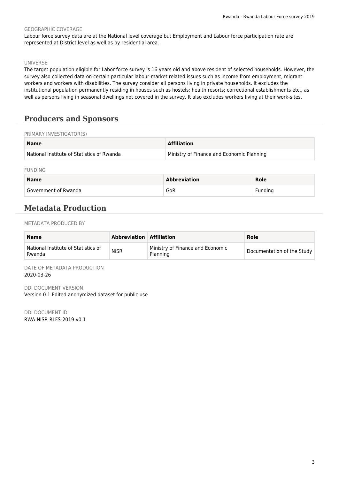#### GEOGRAPHIC COVERAGE

Labour force survey data are at the National level coverage but Employment and Labour force participation rate are represented at District level as well as by residential area.

#### UNIVERSE

The target population eligible for Labor force survey is 16 years old and above resident of selected households. However, the survey also collected data on certain particular labour-market related issues such as income from employment, migrant workers and workers with disabilities. The survey consider all persons living in private households. It excludes the institutional population permanently residing in houses such as hostels; health resorts; correctional establishments etc., as well as persons living in seasonal dwellings not covered in the survey. It also excludes workers living at their work-sites.

## **Producers and Sponsors**

#### PRIMARY INVESTIGATOR(S)

| <b>Name</b>                                | <b>Affiliation</b>                        |
|--------------------------------------------|-------------------------------------------|
| National Institute of Statistics of Rwanda | Ministry of Finance and Economic Planning |

FUNDING

| <b>Name</b>          | <b>Abbreviation</b> | Role    |
|----------------------|---------------------|---------|
| Government of Rwanda | GoR                 | Funding |

## **Metadata Production**

METADATA PRODUCED BY

| <b>Name</b>                                   | <b>Abbreviation Affiliation</b> |                                                     | Role                       |
|-----------------------------------------------|---------------------------------|-----------------------------------------------------|----------------------------|
| National Institute of Statistics of<br>Rwanda | <b>NISR</b>                     | Ministry of Finance and Economic<br><b>Planning</b> | Documentation of the Study |

DATE OF METADATA PRODUCTION 2020-03-26

DDI DOCUMENT VERSION Version 0.1 Edited anonymized dataset for public use

DDI DOCUMENT ID RWA-NISR-RLFS-2019-v0.1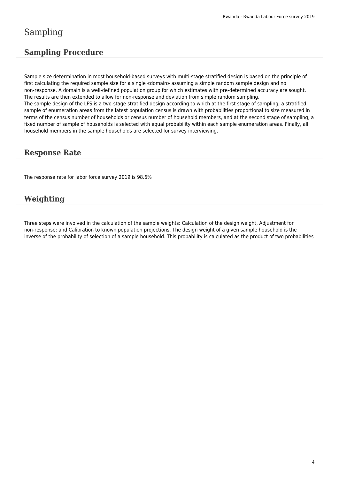## Sampling

## **Sampling Procedure**

Sample size determination in most household-based surveys with multi-stage stratified design is based on the principle of first calculating the required sample size for a single «domain» assuming a simple random sample design and no non-response. A domain is a well-defined population group for which estimates with pre-determined accuracy are sought. The results are then extended to allow for non-response and deviation from simple random sampling. The sample design of the LFS is a two-stage stratified design according to which at the first stage of sampling, a stratified sample of enumeration areas from the latest population census is drawn with probabilities proportional to size measured in terms of the census number of households or census number of household members, and at the second stage of sampling, a fixed number of sample of households is selected with equal probability within each sample enumeration areas. Finally, all household members in the sample households are selected for survey interviewing.

## **Response Rate**

The response rate for labor force survey 2019 is 98.6%

## **Weighting**

Three steps were involved in the calculation of the sample weights: Calculation of the design weight, Adjustment for non-response; and Calibration to known population projections. The design weight of a given sample household is the inverse of the probability of selection of a sample household. This probability is calculated as the product of two probabilities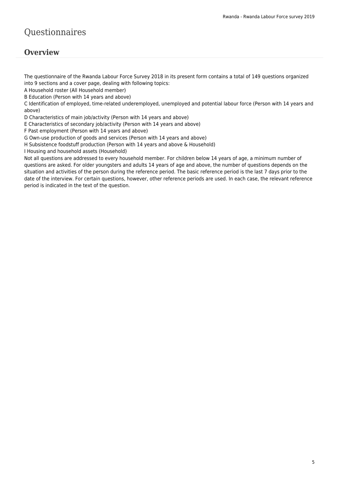## Questionnaires

## **Overview**

The questionnaire of the Rwanda Labour Force Survey 2018 in its present form contains a total of 149 questions organized into 9 sections and a cover page, dealing with following topics:

A Household roster (All Household member)

B Education (Person with 14 years and above)

C Identification of employed, time-related underemployed, unemployed and potential labour force (Person with 14 years and above)

D Characteristics of main job/activity (Person with 14 years and above)

E Characteristics of secondary job/activity (Person with 14 years and above)

F Past employment (Person with 14 years and above)

G Own-use production of goods and services (Person with 14 years and above)

H Subsistence foodstuff production (Person with 14 years and above & Household)

I Housing and household assets (Household)

Not all questions are addressed to every household member. For children below 14 years of age, a minimum number of questions are asked. For older youngsters and adults 14 years of age and above, the number of questions depends on the situation and activities of the person during the reference period. The basic reference period is the last 7 days prior to the date of the interview. For certain questions, however, other reference periods are used. In each case, the relevant reference period is indicated in the text of the question.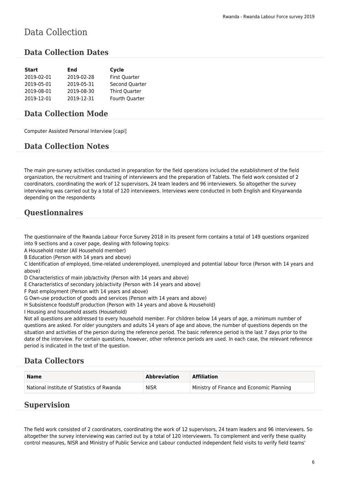## Data Collection

### **Data Collection Dates**

| <b>Start</b> | End        | Cycle          |
|--------------|------------|----------------|
| 2019-02-01   | 2019-02-28 | First Quarter  |
| 2019-05-01   | 2019-05-31 | Second Quarter |
| 2019-08-01   | 2019-08-30 | Third Quarter  |
| 2019-12-01   | 2019-12-31 | Fourth Quarter |

### **Data Collection Mode**

Computer Assisted Personal Interview [capi]

### **Data Collection Notes**

The main pre-survey activities conducted in preparation for the field operations included the establishment of the field organization, the recruitment and training of interviewers and the preparation of Tablets. The field work consisted of 2 coordinators, coordinating the work of 12 supervisors, 24 team leaders and 96 interviewers. So altogether the survey interviewing was carried out by a total of 120 interviewers. Interviews were conducted in both English and Kinyarwanda depending on the respondents

## **Questionnaires**

The questionnaire of the Rwanda Labour Force Survey 2018 in its present form contains a total of 149 questions organized into 9 sections and a cover page, dealing with following topics:

A Household roster (All Household member)

B Education (Person with 14 years and above)

C Identification of employed, time-related underemployed, unemployed and potential labour force (Person with 14 years and above)

D Characteristics of main job/activity (Person with 14 years and above)

E Characteristics of secondary job/activity (Person with 14 years and above)

F Past employment (Person with 14 years and above)

G Own-use production of goods and services (Person with 14 years and above)

H Subsistence foodstuff production (Person with 14 years and above & Household)

I Housing and household assets (Household)

Not all questions are addressed to every household member. For children below 14 years of age, a minimum number of questions are asked. For older youngsters and adults 14 years of age and above, the number of questions depends on the situation and activities of the person during the reference period. The basic reference period is the last 7 days prior to the date of the interview. For certain questions, however, other reference periods are used. In each case, the relevant reference period is indicated in the text of the question.

### **Data Collectors**

| <b>Name</b>                                | <b>Abbreviation</b> | <b>Affiliation</b>                        |
|--------------------------------------------|---------------------|-------------------------------------------|
| National Institute of Statistics of Rwanda | <b>NISR</b>         | Ministry of Finance and Economic Planning |

## **Supervision**

The field work consisted of 2 coordinators, coordinating the work of 12 supervisors, 24 team leaders and 96 interviewers. So altogether the survey interviewing was carried out by a total of 120 interviewers. To complement and verify these quality control measures, NISR and Ministry of Public Service and Labour conducted independent field visits to verify field teams'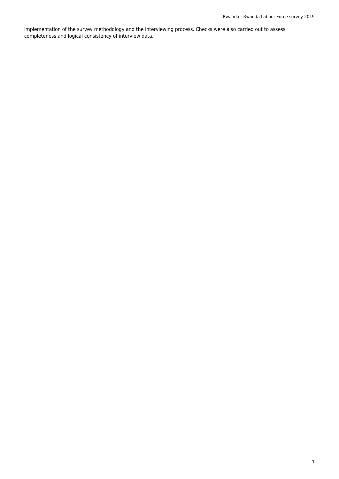implementation of the survey methodology and the interviewing process. Checks were also carried out to assess completeness and logical consistency of interview data.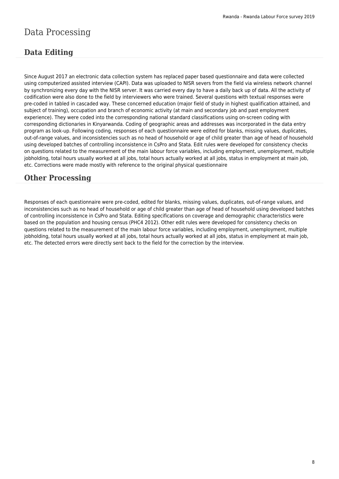## Data Processing

## **Data Editing**

Since August 2017 an electronic data collection system has replaced paper based questionnaire and data were collected using computerized assisted interview (CAPI). Data was uploaded to NISR severs from the field via wireless network channel by synchronizing every day with the NISR server. It was carried every day to have a daily back up of data. All the activity of codification were also done to the field by interviewers who were trained. Several questions with textual responses were pre-coded in tabled in cascaded way. These concerned education (major field of study in highest qualification attained, and subject of training), occupation and branch of economic activity (at main and secondary job and past employment experience). They were coded into the corresponding national standard classifications using on-screen coding with corresponding dictionaries in Kinyarwanda. Coding of geographic areas and addresses was incorporated in the data entry program as look-up. Following coding, responses of each questionnaire were edited for blanks, missing values, duplicates, out-of-range values, and inconsistencies such as no head of household or age of child greater than age of head of household using developed batches of controlling inconsistence in CsPro and Stata. Edit rules were developed for consistency checks on questions related to the measurement of the main labour force variables, including employment, unemployment, multiple jobholding, total hours usually worked at all jobs, total hours actually worked at all jobs, status in employment at main job, etc. Corrections were made mostly with reference to the original physical questionnaire

## **Other Processing**

Responses of each questionnaire were pre-coded, edited for blanks, missing values, duplicates, out-of-range values, and inconsistencies such as no head of household or age of child greater than age of head of household using developed batches of controlling inconsistence in CsPro and Stata. Editing specifications on coverage and demographic characteristics were based on the population and housing census (PHC4 2012). Other edit rules were developed for consistency checks on questions related to the measurement of the main labour force variables, including employment, unemployment, multiple jobholding, total hours usually worked at all jobs, total hours actually worked at all jobs, status in employment at main job, etc. The detected errors were directly sent back to the field for the correction by the interview.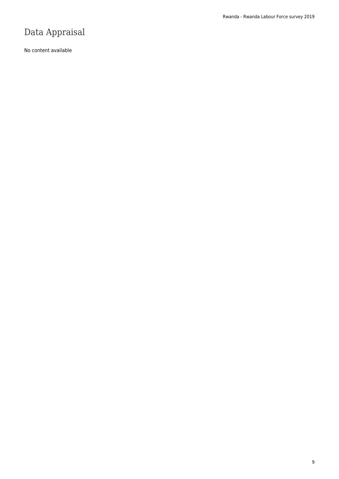## Data Appraisal

No content available